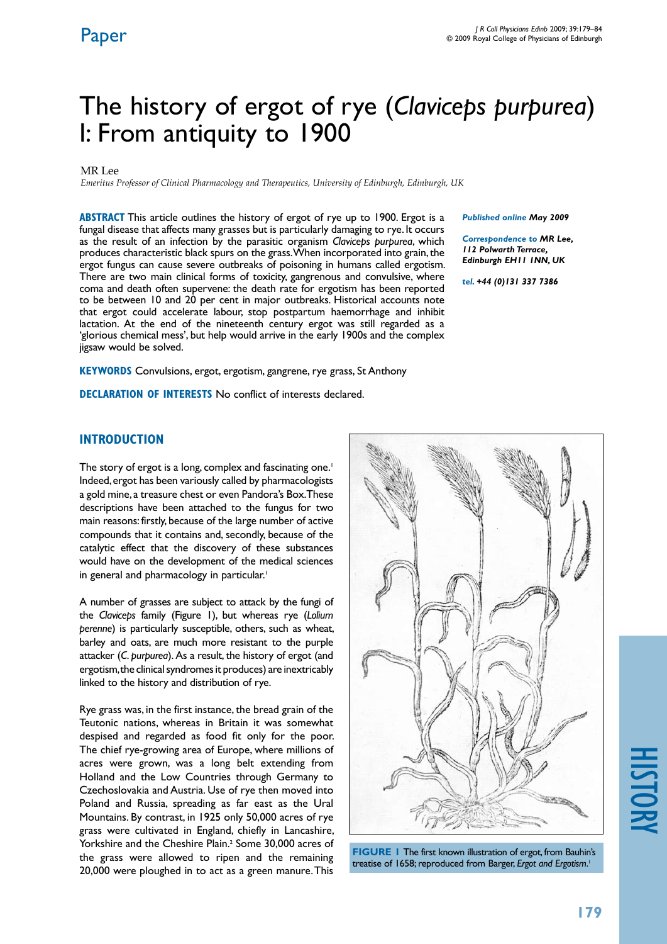# The history of ergot of rye (*Claviceps purpurea*) I: From antiquity to 1900

#### MR Lee

*Emeritus Professor of Clinical Pharmacology and Therapeutics, University of Edinburgh, Edinburgh, UK*

**ABSTRACT** This article outlines the history of ergot of rye up to 1900. Ergot is a fungal disease that affects many grasses but is particularly damaging to rye. It occurs as the result of an infection by the parasitic organism *Claviceps purpurea*, which produces characteristic black spurs on the grass. When incorporated into grain, the ergot fungus can cause severe outbreaks of poisoning in humans called ergotism. There are two main clinical forms of toxicity, gangrenous and convulsive, where coma and death often supervene: the death rate for ergotism has been reported to be between 10 and 20 per cent in major outbreaks. Historical accounts note that ergot could accelerate labour, stop postpartum haemorrhage and inhibit lactation. At the end of the nineteenth century ergot was still regarded as a 'glorious chemical mess', but help would arrive in the early 1900s and the complex jigsaw would be solved.

**KEYWORDS** Convulsions, ergot, ergotism, gangrene, rye grass, St Anthony

**Declaration of Interests** No conflict of interests declared.

#### *Published online May 2009*

*Correspondence to MR Lee, 112 Polwarth Terrace, Edinburgh EH11 1NN, UK*

*tel. +44 (0)131 337 7386*

### **INTRODUCTION**

The story of ergot is a long, complex and fascinating one.<sup>1</sup> Indeed, ergot has been variously called by pharmacologists a gold mine, a treasure chest or even Pandora's Box. These descriptions have been attached to the fungus for two main reasons: firstly, because of the large number of active compounds that it contains and, secondly, because of the catalytic effect that the discovery of these substances would have on the development of the medical sciences in general and pharmacology in particular.<sup>1</sup>

A number of grasses are subject to attack by the fungi of the *Claviceps* family (Figure 1), but whereas rye (*Lolium perenne*) is particularly susceptible, others, such as wheat, barley and oats, are much more resistant to the purple attacker (*C. purpurea*). As a result, the history of ergot (and ergotism, the clinical syndromes it produces) are inextricably linked to the history and distribution of rye.

Rye grass was, in the first instance, the bread grain of the Teutonic nations, whereas in Britain it was somewhat despised and regarded as food fit only for the poor. The chief rye-growing area of Europe, where millions of acres were grown, was a long belt extending from Holland and the Low Countries through Germany to Czechoslovakia and Austria. Use of rye then moved into Poland and Russia, spreading as far east as the Ural Mountains. By contrast, in 1925 only 50,000 acres of rye grass were cultivated in England, chiefly in Lancashire, Yorkshire and the Cheshire Plain.<sup>2</sup> Some 30,000 acres of the grass were allowed to ripen and the remaining 20,000 were ploughed in to act as a green manure. This





# history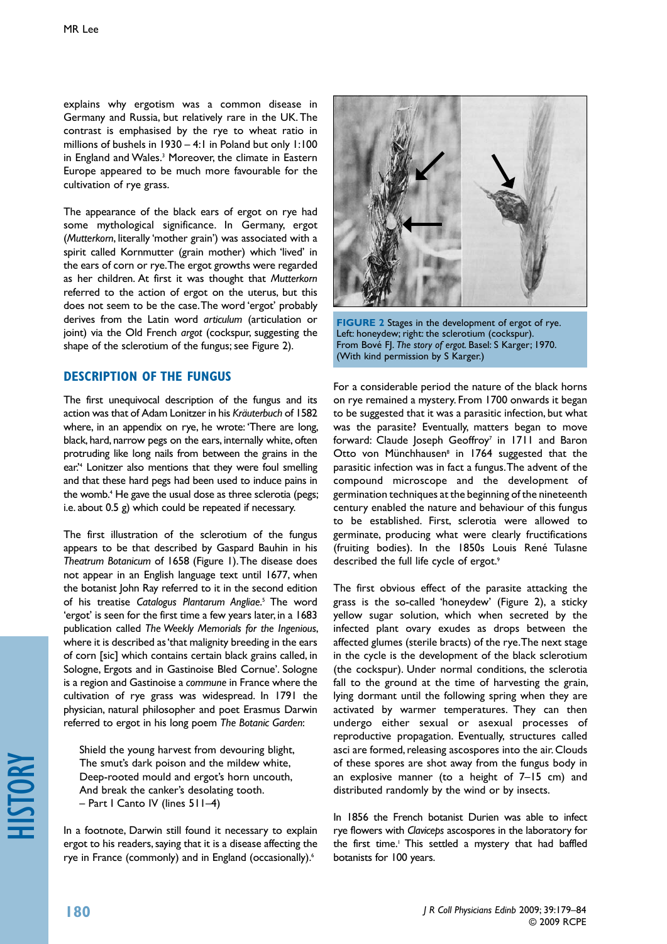explains why ergotism was a common disease in Germany and Russia, but relatively rare in the UK. The contrast is emphasised by the rye to wheat ratio in millions of bushels in 1930 – 4:1 in Poland but only 1:100 in England and Wales.3 Moreover, the climate in Eastern Europe appeared to be much more favourable for the cultivation of rye grass.

The appearance of the black ears of ergot on rye had some mythological significance. In Germany, ergot (*Mutterkorn*, literally 'mother grain') was associated with a spirit called Kornmutter (grain mother) which 'lived' in the ears of corn or rye. The ergot growths were regarded as her children. At first it was thought that *Mutterkorn* referred to the action of ergot on the uterus, but this does not seem to be the case. The word 'ergot' probably derives from the Latin word *articulum* (articulation or joint) via the Old French *argot* (cockspur, suggesting the shape of the sclerotium of the fungus; see Figure 2).

### **Description of the fungus**

The first unequivocal description of the fungus and its action was that of Adam Lonitzer in his *Kräuterbuch* of 1582 where, in an appendix on rye, he wrote: 'There are long, black, hard, narrow pegs on the ears, internally white, often protruding like long nails from between the grains in the ear.'4 Lonitzer also mentions that they were foul smelling and that these hard pegs had been used to induce pains in the womb.4 He gave the usual dose as three sclerotia (pegs; i.e. about 0.5 g) which could be repeated if necessary.

The first illustration of the sclerotium of the fungus appears to be that described by Gaspard Bauhin in his *Theatrum Botanicum* of 1658 (Figure 1). The disease does not appear in an English language text until 1677, when the botanist John Ray referred to it in the second edition of his treatise *Catalogus Plantarum Angliae*. 5 The word 'ergot' is seen for the first time a few years later, in a 1683 publication called *The Weekly Memorials for the Ingenious*, where it is described as 'that malignity breeding in the ears of corn [sic] which contains certain black grains called, in Sologne, Ergots and in Gastinoise Bled Cornue'. Sologne is a region and Gastinoise a *commune* in France where the cultivation of rye grass was widespread. In 1791 the physician, natural philosopher and poet Erasmus Darwin referred to ergot in his long poem *The Botanic Garden*:

Shield the young harvest from devouring blight, The smut's dark poison and the mildew white, Deep-rooted mould and ergot's horn uncouth, And break the canker's desolating tooth. – Part I Canto IV (lines 511–4)

In a footnote, Darwin still found it necessary to explain ergot to his readers, saying that it is a disease affecting the rye in France (commonly) and in England (occasionally).<sup>6</sup>



**FIGURE 2** Stages in the development of ergot of rye. Left: honeydew; right: the sclerotium (cockspur). From Bové FJ. *The story of ergot.* Basel: S Karger; 1970. (With kind permission by S Karger.)

For a considerable period the nature of the black horns on rye remained a mystery. From 1700 onwards it began to be suggested that it was a parasitic infection, but what was the parasite? Eventually, matters began to move forward: Claude Joseph Geoffroy<sup>7</sup> in 1711 and Baron Otto von Münchhausen<sup>8</sup> in 1764 suggested that the parasitic infection was in fact a fungus. The advent of the compound microscope and the development of germination techniques at the beginning of the nineteenth century enabled the nature and behaviour of this fungus to be established. First, sclerotia were allowed to germinate, producing what were clearly fructifications (fruiting bodies). In the 1850s Louis René Tulasne described the full life cycle of ergot.<sup>9</sup>

The first obvious effect of the parasite attacking the grass is the so-called 'honeydew' (Figure 2), a sticky yellow sugar solution, which when secreted by the infected plant ovary exudes as drops between the affected glumes (sterile bracts) of the rye. The next stage in the cycle is the development of the black sclerotium (the cockspur). Under normal conditions, the sclerotia fall to the ground at the time of harvesting the grain, lying dormant until the following spring when they are activated by warmer temperatures. They can then undergo either sexual or asexual processes of reproductive propagation. Eventually, structures called asci are formed, releasing ascospores into the air. Clouds of these spores are shot away from the fungus body in an explosive manner (to a height of 7–15 cm) and distributed randomly by the wind or by insects.

In 1856 the French botanist Durien was able to infect rye flowers with *Claviceps* ascospores in the laboratory for the first time.<sup>1</sup> This settled a mystery that had baffled botanists for 100 years.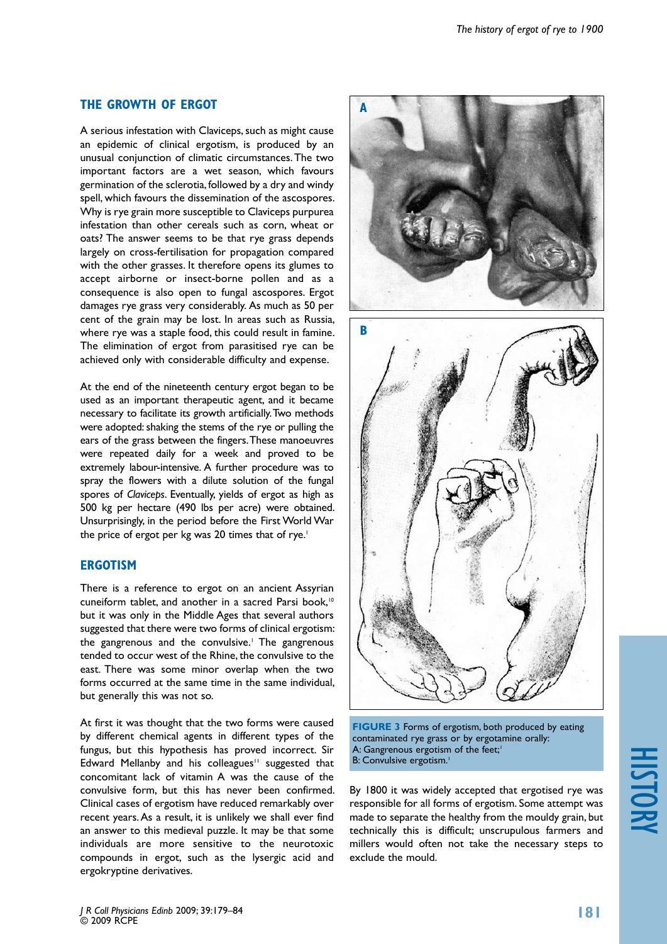# **the growth of ergot**

A serious infestation with Claviceps, such as might cause an epidemic of clinical ergotism, is produced by an unusual conjunction of climatic circumstances. The two important factors are a wet season, which favours germination of the sclerotia, followed by a dry and windy spell, which favours the dissemination of the ascospores. Why is rye grain more susceptible to Claviceps purpurea infestation than other cereals such as corn, wheat or oats? The answer seems to be that rye grass depends largely on cross-fertilisation for propagation compared with the other grasses. It therefore opens its glumes to accept airborne or insect-borne pollen and as a consequence is also open to fungal ascospores. Ergot damages rye grass very considerably. As much as 50 per cent of the grain may be lost. In areas such as Russia, where rye was a staple food, this could result in famine. The elimination of ergot from parasitised rye can be achieved only with considerable difficulty and expense.

At the end of the nineteenth century ergot began to be used as an important therapeutic agent, and it became necessary to facilitate its growth artificially. Two methods were adopted: shaking the stems of the rye or pulling the ears of the grass between the fingers. These manoeuvres were repeated daily for a week and proved to be extremely labour-intensive. A further procedure was to spray the flowers with a dilute solution of the fungal spores of *Claviceps*. Eventually, yields of ergot as high as 500 kg per hectare (490 lbs per acre) were obtained. Unsurprisingly, in the period before the First World War the price of ergot per kg was 20 times that of rye.<sup>1</sup>

# **ERGOTISM**

There is a reference to ergot on an ancient Assyrian cuneiform tablet, and another in a sacred Parsi book,<sup>10</sup> but it was only in the Middle Ages that several authors suggested that there were two forms of clinical ergotism: the gangrenous and the convulsive.<sup>1</sup> The gangrenous tended to occur west of the Rhine, the convulsive to the east. There was some minor overlap when the two forms occurred at the same time in the same individual, but generally this was not so.

At first it was thought that the two forms were caused by different chemical agents in different types of the fungus, but this hypothesis has proved incorrect. Sir Edward Mellanby and his colleagues<sup> $11$ </sup> suggested that concomitant lack of vitamin A was the cause of the convulsive form, but this has never been confirmed. Clinical cases of ergotism have reduced remarkably over recent years. As a result, it is unlikely we shall ever find an answer to this medieval puzzle. It may be that some individuals are more sensitive to the neurotoxic compounds in ergot, such as the lysergic acid and ergokryptine derivatives.



**FIGURE 3** Forms of ergotism, both produced by eating contaminated rye grass or by ergotamine orally: A: Gangrenous ergotism of the feet;<sup>1</sup> B: Convulsive ergotism.<sup>1</sup>

By 1800 it was widely accepted that ergotised rye was responsible for all forms of ergotism. Some attempt was made to separate the healthy from the mouldy grain, but technically this is difficult; unscrupulous farmers and millers would often not take the necessary steps to exclude the mould.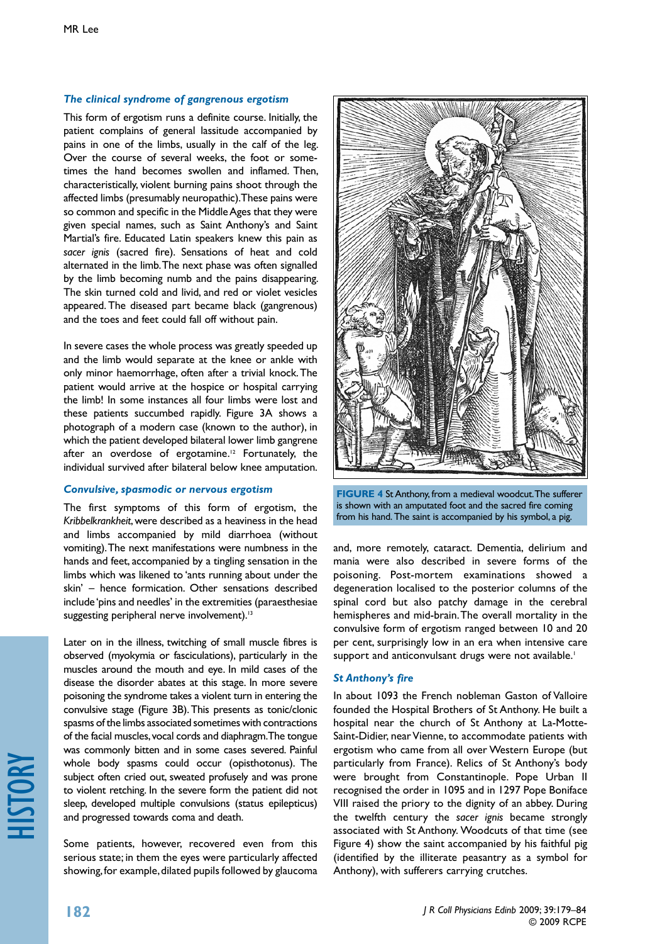#### *The clinical syndrome of gangrenous ergotism*

This form of ergotism runs a definite course. Initially, the patient complains of general lassitude accompanied by pains in one of the limbs, usually in the calf of the leg. Over the course of several weeks, the foot or sometimes the hand becomes swollen and inflamed. Then, characteristically, violent burning pains shoot through the affected limbs (presumably neuropathic). These pains were so common and specific in the Middle Ages that they were given special names, such as Saint Anthony's and Saint Martial's fire. Educated Latin speakers knew this pain as *sacer ignis* (sacred fire). Sensations of heat and cold alternated in the limb. The next phase was often signalled by the limb becoming numb and the pains disappearing. The skin turned cold and livid, and red or violet vesicles appeared. The diseased part became black (gangrenous) and the toes and feet could fall off without pain.

In severe cases the whole process was greatly speeded up and the limb would separate at the knee or ankle with only minor haemorrhage, often after a trivial knock. The patient would arrive at the hospice or hospital carrying the limb! In some instances all four limbs were lost and these patients succumbed rapidly. Figure 3A shows a photograph of a modern case (known to the author), in which the patient developed bilateral lower limb gangrene after an overdose of ergotamine.<sup>12</sup> Fortunately, the individual survived after bilateral below knee amputation.

#### *Convulsive, spasmodic or nervous ergotism*

The first symptoms of this form of ergotism, the *Kribbelkrankheit*, were described as a heaviness in the head and limbs accompanied by mild diarrhoea (without vomiting). The next manifestations were numbness in the hands and feet, accompanied by a tingling sensation in the limbs which was likened to 'ants running about under the skin' – hence formication. Other sensations described include 'pins and needles' in the extremities (paraesthesiae suggesting peripheral nerve involvement).<sup>13</sup>

Later on in the illness, twitching of small muscle fibres is observed (myokymia or fasciculations), particularly in the muscles around the mouth and eye. In mild cases of the disease the disorder abates at this stage. In more severe poisoning the syndrome takes a violent turn in entering the convulsive stage (Figure 3B). This presents as tonic/clonic spasms of the limbs associated sometimes with contractions of the facial muscles, vocal cords and diaphragm. The tongue was commonly bitten and in some cases severed. Painful whole body spasms could occur (opisthotonus). The subject often cried out, sweated profusely and was prone to violent retching. In the severe form the patient did not sleep, developed multiple convulsions (status epilepticus) and progressed towards coma and death.

Some patients, however, recovered even from this serious state; in them the eyes were particularly affected showing, for example, dilated pupils followed by glaucoma



**FIGURE 4** St Anthony, from a medieval woodcut. The sufferer is shown with an amputated foot and the sacred fire coming from his hand. The saint is accompanied by his symbol, a pig.

and, more remotely, cataract. Dementia, delirium and mania were also described in severe forms of the poisoning. Post-mortem examinations showed a degeneration localised to the posterior columns of the spinal cord but also patchy damage in the cerebral hemispheres and mid-brain. The overall mortality in the convulsive form of ergotism ranged between 10 and 20 per cent, surprisingly low in an era when intensive care support and anticonvulsant drugs were not available.<sup>1</sup>

#### *St Anthony's fire*

In about 1093 the French nobleman Gaston of Valloire founded the Hospital Brothers of St Anthony. He built a hospital near the church of St Anthony at La-Motte-Saint-Didier, near Vienne, to accommodate patients with ergotism who came from all over Western Europe (but particularly from France). Relics of St Anthony's body were brought from Constantinople. Pope Urban II recognised the order in 1095 and in 1297 Pope Boniface VIII raised the priory to the dignity of an abbey. During the twelfth century the *sacer ignis* became strongly associated with St Anthony. Woodcuts of that time (see Figure 4) show the saint accompanied by his faithful pig (identified by the illiterate peasantry as a symbol for Anthony), with sufferers carrying crutches.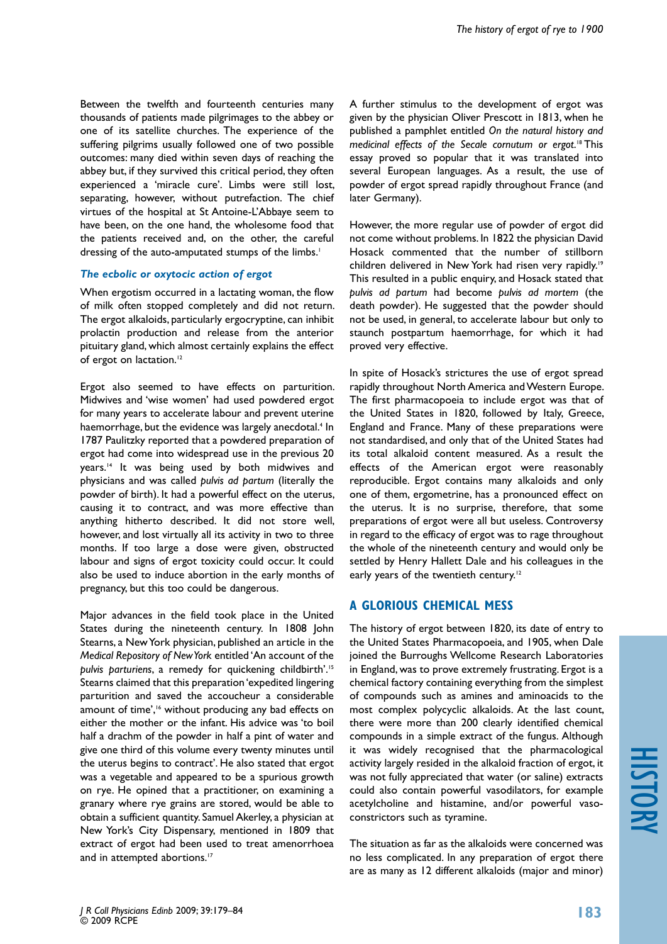Between the twelfth and fourteenth centuries many thousands of patients made pilgrimages to the abbey or one of its satellite churches. The experience of the suffering pilgrims usually followed one of two possible outcomes: many died within seven days of reaching the abbey but, if they survived this critical period, they often experienced a 'miracle cure'. Limbs were still lost, separating, however, without putrefaction. The chief virtues of the hospital at St Antoine-L'Abbaye seem to have been, on the one hand, the wholesome food that the patients received and, on the other, the careful dressing of the auto-amputated stumps of the limbs.<sup>1</sup>

#### *The ecbolic or oxytocic action of ergot*

When ergotism occurred in a lactating woman, the flow of milk often stopped completely and did not return. The ergot alkaloids, particularly ergocryptine, can inhibit prolactin production and release from the anterior pituitary gland, which almost certainly explains the effect of ergot on lactation.<sup>12</sup>

Ergot also seemed to have effects on parturition. Midwives and 'wise women' had used powdered ergot for many years to accelerate labour and prevent uterine haemorrhage, but the evidence was largely anecdotal.<sup>4</sup> In 1787 Paulitzky reported that a powdered preparation of ergot had come into widespread use in the previous 20 years.14 It was being used by both midwives and physicians and was called *pulvis ad partum* (literally the powder of birth). It had a powerful effect on the uterus, causing it to contract, and was more effective than anything hitherto described. It did not store well, however, and lost virtually all its activity in two to three months. If too large a dose were given, obstructed labour and signs of ergot toxicity could occur. It could also be used to induce abortion in the early months of pregnancy, but this too could be dangerous.

Major advances in the field took place in the United States during the nineteenth century. In 1808 John Stearns, a New York physician, published an article in the *Medical Repository of New York* entitled 'An account of the *pulvis parturiens*, a remedy for quickening childbirth'.15 Stearns claimed that this preparation 'expedited lingering parturition and saved the accoucheur a considerable amount of time',<sup>16</sup> without producing any bad effects on either the mother or the infant. His advice was 'to boil half a drachm of the powder in half a pint of water and give one third of this volume every twenty minutes until the uterus begins to contract'. He also stated that ergot was a vegetable and appeared to be a spurious growth on rye. He opined that a practitioner, on examining a granary where rye grains are stored, would be able to obtain a sufficient quantity. Samuel Akerley, a physician at New York's City Dispensary, mentioned in 1809 that extract of ergot had been used to treat amenorrhoea and in attempted abortions.<sup>17</sup>

A further stimulus to the development of ergot was given by the physician Oliver Prescott in 1813, when he published a pamphlet entitled *On the natural history and medicinal effects of the Secale cornutum or ergot*. 18 This essay proved so popular that it was translated into several European languages. As a result, the use of powder of ergot spread rapidly throughout France (and later Germany).

However, the more regular use of powder of ergot did not come without problems. In 1822 the physician David Hosack commented that the number of stillborn children delivered in New York had risen very rapidly.<sup>19</sup> This resulted in a public enquiry, and Hosack stated that *pulvis ad partum* had become *pulvis ad mortem* (the death powder). He suggested that the powder should not be used, in general, to accelerate labour but only to staunch postpartum haemorrhage, for which it had proved very effective.

In spite of Hosack's strictures the use of ergot spread rapidly throughout North America and Western Europe. The first pharmacopoeia to include ergot was that of the United States in 1820, followed by Italy, Greece, England and France. Many of these preparations were not standardised, and only that of the United States had its total alkaloid content measured. As a result the effects of the American ergot were reasonably reproducible. Ergot contains many alkaloids and only one of them, ergometrine, has a pronounced effect on the uterus. It is no surprise, therefore, that some preparations of ergot were all but useless. Controversy in regard to the efficacy of ergot was to rage throughout the whole of the nineteenth century and would only be settled by Henry Hallett Dale and his colleagues in the early years of the twentieth century.<sup>12</sup>

# **A glorious chemical mess**

The history of ergot between 1820, its date of entry to the United States Pharmacopoeia, and 1905, when Dale joined the Burroughs Wellcome Research Laboratories in England, was to prove extremely frustrating. Ergot is a chemical factory containing everything from the simplest of compounds such as amines and aminoacids to the most complex polycyclic alkaloids. At the last count, there were more than 200 clearly identified chemical compounds in a simple extract of the fungus. Although it was widely recognised that the pharmacological activity largely resided in the alkaloid fraction of ergot, it was not fully appreciated that water (or saline) extracts could also contain powerful vasodilators, for example acetylcholine and histamine, and/or powerful vasoconstrictors such as tyramine.

The situation as far as the alkaloids were concerned was no less complicated. In any preparation of ergot there are as many as 12 different alkaloids (major and minor)